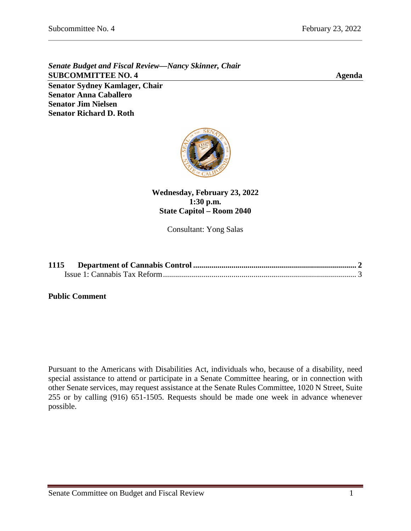**Senator Anna Caballero Senator Jim Nielsen Senator Richard D. Roth** 

*Senate Budget and Fiscal Review—Nancy Skinner, Chair* **SUBCOMMITTEE NO. 4 Agenda Senator Sydney Kamlager, Chair**

**Wednesday, February 23, 2022 1:30 p.m. State Capitol – Room 2040**

Consultant: Yong Salas

| 1115 |  |  |
|------|--|--|
|      |  |  |

**Public Comment**

Pursuant to the Americans with Disabilities Act, individuals who, because of a disability, need special assistance to attend or participate in a Senate Committee hearing, or in connection with other Senate services, may request assistance at the Senate Rules Committee, 1020 N Street, Suite 255 or by calling (916) 651-1505. Requests should be made one week in advance whenever possible.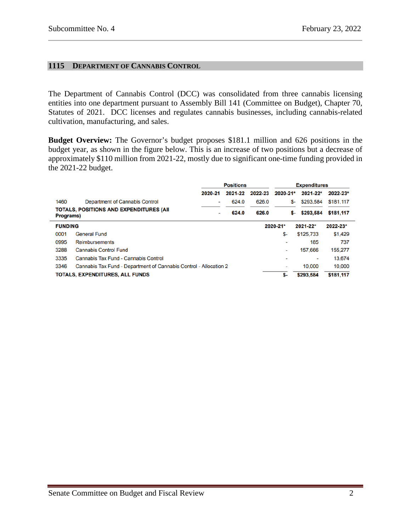#### <span id="page-1-0"></span>**1115 DEPARTMENT OF CANNABIS CONTROL**

The Department of Cannabis Control (DCC) was consolidated from three cannabis licensing entities into one department pursuant to Assembly Bill 141 (Committee on Budget), Chapter 70, Statutes of 2021. DCC licenses and regulates cannabis businesses, including cannabis-related cultivation, manufacturing, and sales.

**Budget Overview:** The Governor's budget proposes \$181.1 million and 626 positions in the budget year, as shown in the figure below. This is an increase of two positions but a decrease of approximately \$110 million from 2021-22, mostly due to significant one-time funding provided in the 2021-22 budget.

|                                                                           | <b>Positions</b>         |         |          | <b>Expenditures</b> |                 |           |  |
|---------------------------------------------------------------------------|--------------------------|---------|----------|---------------------|-----------------|-----------|--|
|                                                                           | 2020-21                  | 2021-22 | 2022-23  | $2020 - 21$ *       | 2021-22*        | 2022-23*  |  |
| 1460<br><b>Department of Cannabis Control</b>                             | $\overline{\phantom{a}}$ | 624.0   | 626.0    |                     | \$293.584<br>S- | \$181,117 |  |
| TOTALS, POSITIONS AND EXPENDITURES (AII<br>Programs)                      |                          | 624.0   | 626.0    |                     | \$293,584<br>s- | \$181,117 |  |
| <b>FUNDING</b>                                                            |                          |         | 2020-21* |                     | 2021-22*        | 2022-23*  |  |
| 0001<br><b>General Fund</b>                                               |                          |         |          | \$-                 | \$125,733       | \$1,429   |  |
| 0995<br><b>Reimbursements</b>                                             |                          |         |          | -                   | 185             | 737       |  |
| 3288<br><b>Cannabis Control Fund</b>                                      |                          |         |          | ۰                   | 157,666         | 155,277   |  |
| 3335<br>Cannabis Tax Fund - Cannabis Control                              |                          |         |          | ۰                   | ٠               | 13,674    |  |
| Cannabis Tax Fund - Department of Cannabis Control - Allocation 2<br>3346 |                          |         |          | ۰                   | 10.000          | 10,000    |  |
| <b>TOTALS, EXPENDITURES, ALL FUNDS</b>                                    |                          |         |          | \$-                 | \$293.584       | \$181,117 |  |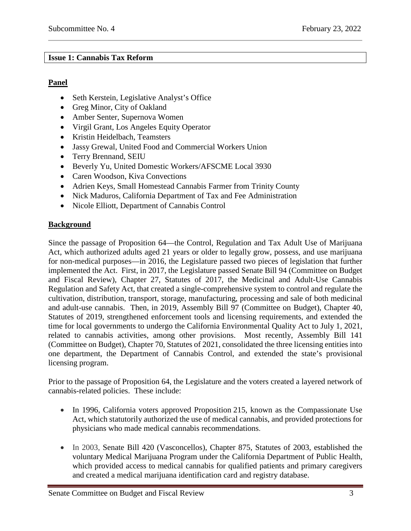### <span id="page-2-0"></span>**Issue 1: Cannabis Tax Reform**

### **Panel**

- Seth Kerstein, Legislative Analyst's Office
- Greg Minor, City of Oakland
- Amber Senter, Supernova Women
- Virgil Grant, Los Angeles Equity Operator
- Kristin Heidelbach, Teamsters
- Jassy Grewal, United Food and Commercial Workers Union
- Terry Brennand, SEIU
- Beverly Yu, United Domestic Workers/AFSCME Local 3930
- Caren Woodson, Kiva Convections
- Adrien Keys, Small Homestead Cannabis Farmer from Trinity County
- Nick Maduros, California Department of Tax and Fee Administration
- Nicole Elliott, Department of Cannabis Control

# **Background**

Since the passage of Proposition 64—the Control, Regulation and Tax Adult Use of Marijuana Act, which authorized adults aged 21 years or older to legally grow, possess, and use marijuana for non-medical purposes—in 2016, the Legislature passed two pieces of legislation that further implemented the Act. First, in 2017, the Legislature passed Senate Bill 94 (Committee on Budget and Fiscal Review), Chapter 27, Statutes of 2017, the Medicinal and Adult-Use Cannabis Regulation and Safety Act, that created a single-comprehensive system to control and regulate the cultivation, distribution, transport, storage, manufacturing, processing and sale of both medicinal and adult-use cannabis. Then, in 2019, Assembly Bill 97 (Committee on Budget), Chapter 40, Statutes of 2019, strengthened enforcement tools and licensing requirements, and extended the time for local governments to undergo the California Environmental Quality Act to July 1, 2021, related to cannabis activities, among other provisions. Most recently, Assembly Bill 141 (Committee on Budget), Chapter 70, Statutes of 2021, consolidated the three licensing entities into one department, the Department of Cannabis Control, and extended the state's provisional licensing program.

Prior to the passage of Proposition 64, the Legislature and the voters created a layered network of cannabis-related policies. These include:

- In 1996, California voters approved Proposition 215, known as the Compassionate Use Act, which statutorily authorized the use of medical cannabis, and provided protections for physicians who made medical cannabis recommendations.
- In 2003, Senate Bill 420 (Vasconcellos), Chapter 875, Statutes of 2003, established the voluntary Medical Marijuana Program under the California Department of Public Health, which provided access to medical cannabis for qualified patients and primary caregivers and created a medical marijuana identification card and registry database.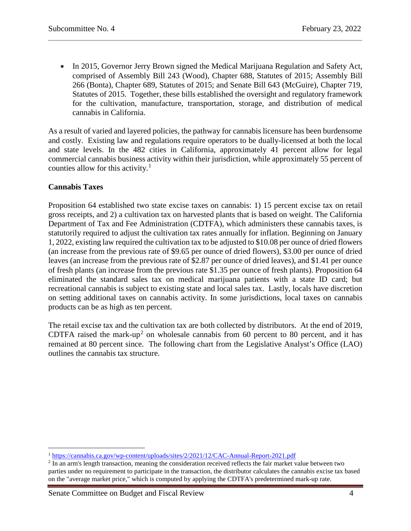• In 2015, Governor Jerry Brown signed the Medical Marijuana Regulation and Safety Act, comprised of Assembly Bill 243 (Wood), Chapter 688, Statutes of 2015; Assembly Bill 266 (Bonta), Chapter 689, Statutes of 2015; and Senate Bill 643 (McGuire), Chapter 719, Statutes of 2015. Together, these bills established the oversight and regulatory framework for the cultivation, manufacture, transportation, storage, and distribution of medical cannabis in California.

As a result of varied and layered policies, the pathway for cannabis licensure has been burdensome and costly. Existing law and regulations require operators to be dually-licensed at both the local and state levels. In the 482 cities in California, approximately 41 percent allow for legal commercial cannabis business activity within their jurisdiction, while approximately 55 percent of counties allow for this activity. $\frac{1}{1}$  $\frac{1}{1}$  $\frac{1}{1}$ 

# **Cannabis Taxes**

Proposition 64 established two state excise taxes on cannabis: 1) 15 percent excise tax on retail gross receipts, and 2) a cultivation tax on harvested plants that is based on weight. The California Department of Tax and Fee Administration (CDTFA), which administers these cannabis taxes, is statutorily required to adjust the cultivation tax rates annually for inflation. Beginning on January 1, 2022, existing law required the cultivation tax to be adjusted to \$10.08 per ounce of dried flowers (an increase from the previous rate of \$9.65 per ounce of dried flowers), \$3.00 per ounce of dried leaves (an increase from the previous rate of \$2.87 per ounce of dried leaves), and \$1.41 per ounce of fresh plants (an increase from the previous rate \$1.35 per ounce of fresh plants). Proposition 64 eliminated the standard sales tax on medical marijuana patients with a state ID card; but recreational cannabis is subject to existing state and local sales tax. Lastly, locals have discretion on setting additional taxes on cannabis activity. In some jurisdictions, local taxes on cannabis products can be as high as ten percent.

The retail excise tax and the cultivation tax are both collected by distributors. At the end of 2019, CDTFA raised the mark-up<sup>[2](#page-3-1)</sup> on wholesale cannabis from 60 percent to 80 percent, and it has remained at 80 percent since. The following chart from the Legislative Analyst's Office (LAO) outlines the cannabis tax structure.

<span id="page-3-0"></span> <sup>1</sup> <https://cannabis.ca.gov/wp-content/uploads/sites/2/2021/12/CAC-Annual-Report-2021.pdf>

<span id="page-3-1"></span><sup>&</sup>lt;sup>2</sup> In an arm's length transaction, meaning the consideration received reflects the fair market value between two parties under no requirement to participate in the transaction, the distributor calculates the cannabis excise tax based on the "average market price," which is computed by applying the CDTFA's predetermined mark-up rate.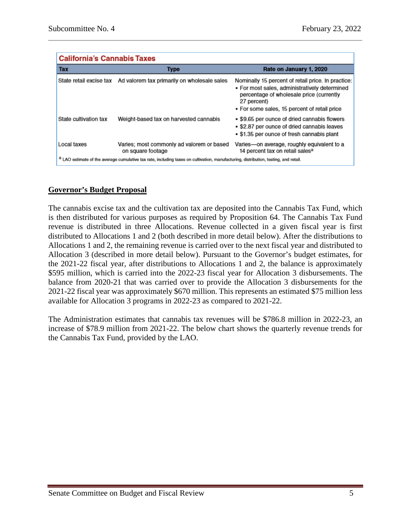| <b>California's Cannabis Taxes</b>                                                                                                              |                                                                |                                                                                                                                                                                                                |  |  |  |
|-------------------------------------------------------------------------------------------------------------------------------------------------|----------------------------------------------------------------|----------------------------------------------------------------------------------------------------------------------------------------------------------------------------------------------------------------|--|--|--|
| <b>Tax</b>                                                                                                                                      | Type                                                           | Rate on January 1, 2020                                                                                                                                                                                        |  |  |  |
| State retail excise tax                                                                                                                         | Ad valorem tax primarily on wholesale sales                    | Nominally 15 percent of retail price. In practice:<br>• For most sales, administratively determined<br>percentage of wholesale price (currently<br>27 percent)<br>• For some sales, 15 percent of retail price |  |  |  |
| State cultivation tax                                                                                                                           | Weight-based tax on harvested cannabis                         | • \$9.65 per ounce of dried cannabis flowers<br>• \$2.87 per ounce of dried cannabis leaves<br>• \$1.35 per ounce of fresh cannabis plant                                                                      |  |  |  |
| Local taxes                                                                                                                                     | Varies; most commonly ad valorem or based<br>on square footage | Varies-on average, roughly equivalent to a<br>14 percent tax on retail sales <sup>a</sup>                                                                                                                      |  |  |  |
| <sup>a</sup> LAO estimate of the average cumulative tax rate, including taxes on cultivation, manufacturing, distribution, testing, and retail. |                                                                |                                                                                                                                                                                                                |  |  |  |

# **Governor's Budget Proposal**

The cannabis excise tax and the cultivation tax are deposited into the Cannabis Tax Fund, which is then distributed for various purposes as required by Proposition 64. The Cannabis Tax Fund revenue is distributed in three Allocations. Revenue collected in a given fiscal year is first distributed to Allocations 1 and 2 (both described in more detail below). After the distributions to Allocations 1 and 2, the remaining revenue is carried over to the next fiscal year and distributed to Allocation 3 (described in more detail below). Pursuant to the Governor's budget estimates, for the 2021-22 fiscal year, after distributions to Allocations 1 and 2, the balance is approximately \$595 million, which is carried into the 2022-23 fiscal year for Allocation 3 disbursements. The balance from 2020-21 that was carried over to provide the Allocation 3 disbursements for the 2021-22 fiscal year was approximately \$670 million. This represents an estimated \$75 million less available for Allocation 3 programs in 2022-23 as compared to 2021-22.

The Administration estimates that cannabis tax revenues will be \$786.8 million in 2022-23, an increase of \$78.9 million from 2021-22. The below chart shows the quarterly revenue trends for the Cannabis Tax Fund, provided by the LAO.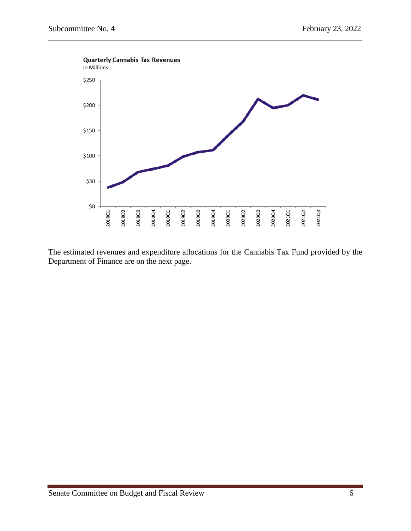

The estimated revenues and expenditure allocations for the Cannabis Tax Fund provided by the Department of Finance are on the next page.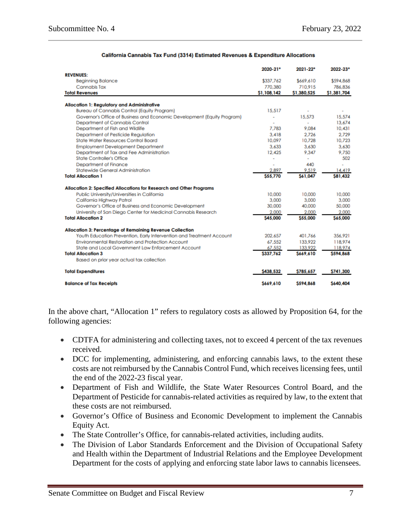| <b>REVENUES:</b><br><b>Beginning Balance</b>                            | \$337,762   | \$669,610                |                |
|-------------------------------------------------------------------------|-------------|--------------------------|----------------|
|                                                                         |             |                          |                |
|                                                                         |             |                          | \$594,868      |
| Cannabis Tax                                                            | 770.380     | 710.915                  | 786.836        |
| <b>Total Revenues</b>                                                   | \$1,108,142 | \$1,380,525              | \$1,381,704    |
| <b>Allocation 1: Regulatory and Administrative</b>                      |             |                          |                |
| <b>Bureau of Cannabis Control (Equity Program)</b>                      | 15,517      |                          |                |
| Governor's Office of Business and Economic Development (Equity Program) | ۰           | 15.573                   | 15.574         |
| Department of Cannabis Control                                          |             | $\overline{\phantom{a}}$ | 13.674         |
| Department of Fish and Wildlife                                         | 7.783       | 9.084                    | 10.431         |
| Department of Pesticide Reaulation                                      | 3.418       | 2.726                    | 2.729          |
| <b>State Water Resources Control Board</b>                              | 10.097      | 10.728                   | 10.723         |
| <b>Employment Development Department</b>                                | 3.633       | 3.630                    | 3.630          |
| Department of Tax and Fee Administration                                | 12.425      | 9.347                    | 9.750          |
| <b>State Controller's Office</b>                                        | ۰           |                          | 502            |
| Department of Finance                                                   | i.          | 440                      |                |
| Statewide General Administration                                        | 2.897       | 9.519                    | 14,419         |
| <b>Total Allocation 1</b>                                               | \$55,770    | S61.047                  | <b>S81.432</b> |
| Allocation 2: Specified Allocations for Research and Other Programs     |             |                          |                |
| Public University/Universities in California                            | 10.000      | 10.000                   | 10.000         |
| California Highway Patrol                                               | 3.000       | 3,000                    | 3.000          |
| Governor's Office of Business and Economic Development                  | 30,000      | 40,000                   | 50,000         |
| University of San Diego Center for Medicinal Cannabis Research          | 2,000       | 2,000                    | 2,000          |
| <b>Total Allocation 2</b>                                               | \$45,000    | \$55,000                 | \$65,000       |
| Allocation 3: Percentage of Remaining Revenue Collection                |             |                          |                |
| Youth Education Prevention, Early Intervention and Treatment Account    | 202.657     | 401.766                  | 356.921        |
| Environmental Restoration and Protection Account                        | 67.552      | 133.922                  | 118,974        |
| State and Local Government Law Enforcement Account                      | 67,552      | 133,922                  | 118,974        |
| <b>Total Allocation 3</b>                                               | \$337,762   | \$669,610                | \$594,868      |
| Based on prior year actual tax collection                               |             |                          |                |
| <b>Total Expenditures</b>                                               | S438.532    | \$785,657                | \$741,300      |
| <b>Balance of Tax Receipts</b>                                          | S669,610    | \$594,868                | \$640,404      |

#### California Cannabis Tax Fund (3314) Estimated Revenues & Expenditure Allocations

In the above chart, "Allocation 1" refers to regulatory costs as allowed by Proposition 64, for the following agencies:

- CDTFA for administering and collecting taxes, not to exceed 4 percent of the tax revenues received.
- DCC for implementing, administering, and enforcing cannabis laws, to the extent these costs are not reimbursed by the Cannabis Control Fund, which receives licensing fees, until the end of the 2022-23 fiscal year.
- Department of Fish and Wildlife, the State Water Resources Control Board, and the Department of Pesticide for cannabis-related activities as required by law, to the extent that these costs are not reimbursed.
- Governor's Office of Business and Economic Development to implement the Cannabis Equity Act.
- The State Controller's Office, for cannabis-related activities, including audits.
- The Division of Labor Standards Enforcement and the Division of Occupational Safety and Health within the Department of Industrial Relations and the Employee Development Department for the costs of applying and enforcing state labor laws to cannabis licensees.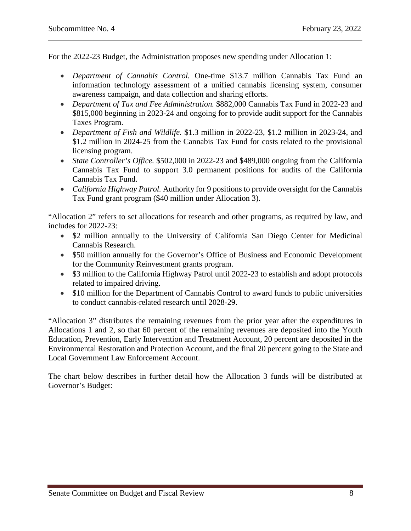For the 2022-23 Budget, the Administration proposes new spending under Allocation 1:

- *Department of Cannabis Control.* One-time \$13.7 million Cannabis Tax Fund an information technology assessment of a unified cannabis licensing system, consumer awareness campaign, and data collection and sharing efforts.
- *Department of Tax and Fee Administration.* \$882,000 Cannabis Tax Fund in 2022-23 and \$815,000 beginning in 2023-24 and ongoing for to provide audit support for the Cannabis Taxes Program.
- *Department of Fish and Wildlife.* \$1.3 million in 2022-23, \$1.2 million in 2023-24, and \$1.2 million in 2024-25 from the Cannabis Tax Fund for costs related to the provisional licensing program.
- *State Controller's Office.* \$502,000 in 2022-23 and \$489,000 ongoing from the California Cannabis Tax Fund to support 3.0 permanent positions for audits of the California Cannabis Tax Fund.
- *California Highway Patrol.* Authority for 9 positions to provide oversight for the Cannabis Tax Fund grant program (\$40 million under Allocation 3).

"Allocation 2" refers to set allocations for research and other programs, as required by law, and includes for 2022-23:

- \$2 million annually to the University of California San Diego Center for Medicinal Cannabis Research.
- \$50 million annually for the Governor's Office of Business and Economic Development for the Community Reinvestment grants program.
- \$3 million to the California Highway Patrol until 2022-23 to establish and adopt protocols related to impaired driving.
- \$10 million for the Department of Cannabis Control to award funds to public universities to conduct cannabis-related research until 2028-29.

"Allocation 3" distributes the remaining revenues from the prior year after the expenditures in Allocations 1 and 2, so that 60 percent of the remaining revenues are deposited into the Youth Education, Prevention, Early Intervention and Treatment Account, 20 percent are deposited in the Environmental Restoration and Protection Account, and the final 20 percent going to the State and Local Government Law Enforcement Account.

The chart below describes in further detail how the Allocation 3 funds will be distributed at Governor's Budget: